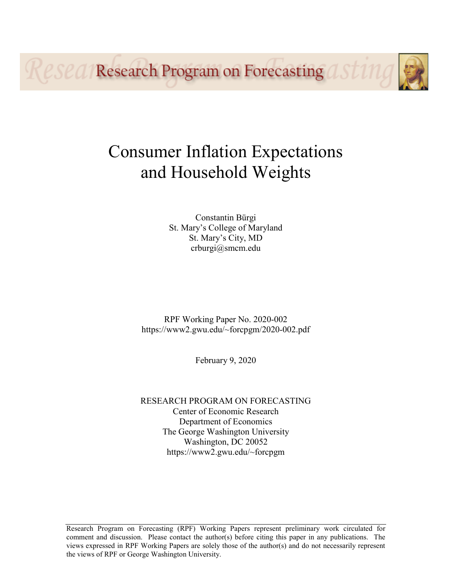Resea Research Program on Forecasting a

# Consumer Inflation Expectations and Household Weights

Constantin Bürgi St. Mary's College of Maryland St. Mary's City, MD crburgi@smcm.edu

RPF Working Paper No. 2020-002 https://www2.gwu.edu/~forcpgm/2020-002.pdf

February 9, 2020

RESEARCH PROGRAM ON FORECASTING Center of Economic Research Department of Economics The George Washington University Washington, DC 20052 https://www2.gwu.edu/~forcpgm

Research Program on Forecasting (RPF) Working Papers represent preliminary work circulated for comment and discussion. Please contact the author(s) before citing this paper in any publications. The views expressed in RPF Working Papers are solely those of the author(s) and do not necessarily represent the views of RPF or George Washington University.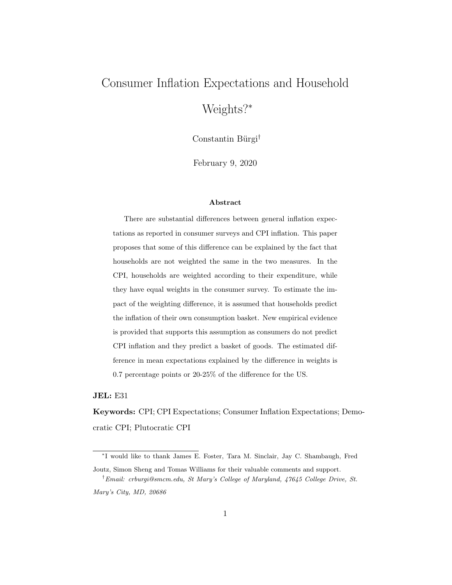## Consumer Inflation Expectations and Household

Weights?<sup>∗</sup>

Constantin Bürgi<sup>†</sup>

February 9, 2020

#### Abstract

There are substantial differences between general inflation expectations as reported in consumer surveys and CPI inflation. This paper proposes that some of this difference can be explained by the fact that households are not weighted the same in the two measures. In the CPI, households are weighted according to their expenditure, while they have equal weights in the consumer survey. To estimate the impact of the weighting difference, it is assumed that households predict the inflation of their own consumption basket. New empirical evidence is provided that supports this assumption as consumers do not predict CPI inflation and they predict a basket of goods. The estimated difference in mean expectations explained by the difference in weights is 0.7 percentage points or 20-25% of the difference for the US.

JEL: E31

Keywords: CPI; CPI Expectations; Consumer Inflation Expectations; Democratic CPI; Plutocratic CPI

<sup>∗</sup> I would like to thank James E. Foster, Tara M. Sinclair, Jay C. Shambaugh, Fred Joutz, Simon Sheng and Tomas Williams for their valuable comments and support.

<sup>†</sup>Email: crburgi@smcm.edu, St Mary's College of Maryland, 47645 College Drive, St. Mary's City, MD, 20686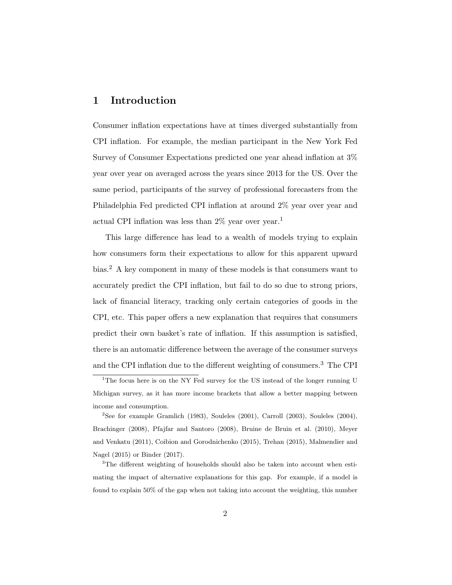#### 1 Introduction

Consumer inflation expectations have at times diverged substantially from CPI inflation. For example, the median participant in the New York Fed Survey of Consumer Expectations predicted one year ahead inflation at 3% year over year on averaged across the years since 2013 for the US. Over the same period, participants of the survey of professional forecasters from the Philadelphia Fed predicted CPI inflation at around 2% year over year and actual CPI inflation was less than  $2\%$  year over year.<sup>1</sup>

This large difference has lead to a wealth of models trying to explain how consumers form their expectations to allow for this apparent upward bias.<sup>2</sup> A key component in many of these models is that consumers want to accurately predict the CPI inflation, but fail to do so due to strong priors, lack of financial literacy, tracking only certain categories of goods in the CPI, etc. This paper offers a new explanation that requires that consumers predict their own basket's rate of inflation. If this assumption is satisfied, there is an automatic difference between the average of the consumer surveys and the CPI inflation due to the different weighting of consumers.<sup>3</sup> The CPI

<sup>&</sup>lt;sup>1</sup>The focus here is on the NY Fed survey for the US instead of the longer running U Michigan survey, as it has more income brackets that allow a better mapping between income and consumption.

<sup>&</sup>lt;sup>2</sup>See for example Gramlich (1983), Souleles (2001), Carroll (2003), Souleles (2004), Brachinger (2008), Pfajfar and Santoro (2008), Bruine de Bruin et al. (2010), Meyer and Venkatu (2011), Coibion and Gorodnichenko (2015), Trehan (2015), Malmendier and Nagel (2015) or Binder (2017).

<sup>&</sup>lt;sup>3</sup>The different weighting of households should also be taken into account when estimating the impact of alternative explanations for this gap. For example, if a model is found to explain 50% of the gap when not taking into account the weighting, this number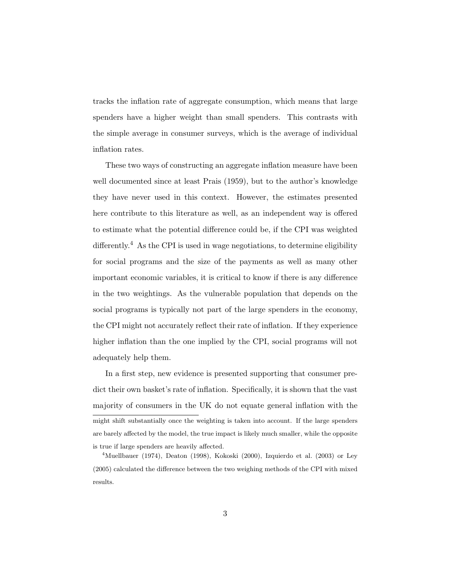tracks the inflation rate of aggregate consumption, which means that large spenders have a higher weight than small spenders. This contrasts with the simple average in consumer surveys, which is the average of individual inflation rates.

These two ways of constructing an aggregate inflation measure have been well documented since at least Prais (1959), but to the author's knowledge they have never used in this context. However, the estimates presented here contribute to this literature as well, as an independent way is offered to estimate what the potential difference could be, if the CPI was weighted differently.<sup>4</sup> As the CPI is used in wage negotiations, to determine eligibility for social programs and the size of the payments as well as many other important economic variables, it is critical to know if there is any difference in the two weightings. As the vulnerable population that depends on the social programs is typically not part of the large spenders in the economy, the CPI might not accurately reflect their rate of inflation. If they experience higher inflation than the one implied by the CPI, social programs will not adequately help them.

In a first step, new evidence is presented supporting that consumer predict their own basket's rate of inflation. Specifically, it is shown that the vast majority of consumers in the UK do not equate general inflation with the might shift substantially once the weighting is taken into account. If the large spenders are barely affected by the model, the true impact is likely much smaller, while the opposite is true if large spenders are heavily affected.

<sup>&</sup>lt;sup>4</sup>Muellbauer (1974), Deaton (1998), Kokoski (2000), Izquierdo et al. (2003) or Ley (2005) calculated the difference between the two weighing methods of the CPI with mixed results.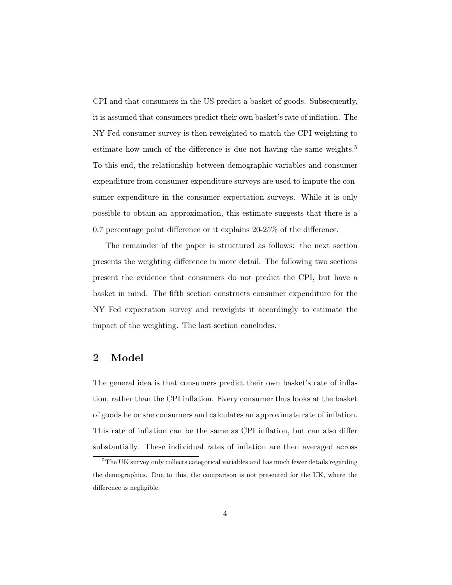CPI and that consumers in the US predict a basket of goods. Subsequently, it is assumed that consumers predict their own basket's rate of inflation. The NY Fed consumer survey is then reweighted to match the CPI weighting to estimate how much of the difference is due not having the same weights.<sup>5</sup> To this end, the relationship between demographic variables and consumer expenditure from consumer expenditure surveys are used to impute the consumer expenditure in the consumer expectation surveys. While it is only possible to obtain an approximation, this estimate suggests that there is a 0.7 percentage point difference or it explains 20-25% of the difference.

The remainder of the paper is structured as follows: the next section presents the weighting difference in more detail. The following two sections present the evidence that consumers do not predict the CPI, but have a basket in mind. The fifth section constructs consumer expenditure for the NY Fed expectation survey and reweights it accordingly to estimate the impact of the weighting. The last section concludes.

#### 2 Model

The general idea is that consumers predict their own basket's rate of inflation, rather than the CPI inflation. Every consumer thus looks at the basket of goods he or she consumers and calculates an approximate rate of inflation. This rate of inflation can be the same as CPI inflation, but can also differ substantially. These individual rates of inflation are then averaged across

<sup>5</sup>The UK survey only collects categorical variables and has much fewer details regarding the demographics. Due to this, the comparison is not presented for the UK, where the difference is negligible.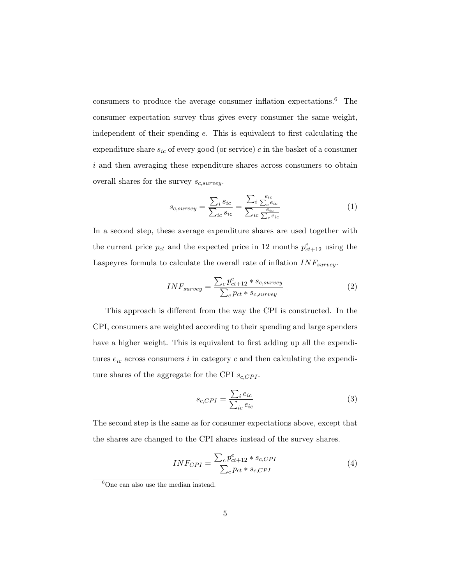consumers to produce the average consumer inflation expectations.<sup>6</sup> The consumer expectation survey thus gives every consumer the same weight, independent of their spending e. This is equivalent to first calculating the expenditure share  $s_{ic}$  of every good (or service) c in the basket of a consumer  $i$  and then averaging these expenditure shares across consumers to obtain overall shares for the survey  $s_{c,surve}$ .

$$
s_{c,survey} = \frac{\sum_{i} s_{ic}}{\sum_{ic} s_{ic}} = \frac{\sum_{i} \frac{e_{ic}}{\sum_{c} e_{ic}}}{\sum_{ic} \frac{e_{ic}}{\sum_{c} e_{ic}}}
$$
(1)

In a second step, these average expenditure shares are used together with the current price  $p_{ct}$  and the expected price in 12 months  $p_{ct+12}^e$  using the Laspeyres formula to calculate the overall rate of inflation  $INF_{survey}$ .

$$
INF_{survey} = \frac{\sum_{c} p_{ct+12}^{e} * s_{c,survey}}{\sum_{c} p_{ct} * s_{c, survey}}
$$
\n
$$
(2)
$$

This approach is different from the way the CPI is constructed. In the CPI, consumers are weighted according to their spending and large spenders have a higher weight. This is equivalent to first adding up all the expenditures  $e_{ic}$  across consumers i in category c and then calculating the expenditure shares of the aggregate for the CPI  $s_{c,CPI}$ .

$$
s_{c,CPI} = \frac{\sum_{i} e_{ic}}{\sum_{ic} e_{ic}}\tag{3}
$$

The second step is the same as for consumer expectations above, except that the shares are changed to the CPI shares instead of the survey shares.

$$
INF_{CPI} = \frac{\sum_{c} p_{ct+12}^{e} * s_{c,CPI}}{\sum_{c} p_{ct} * s_{c,CPI}}
$$
(4)

 ${}^{6}$ One can also use the median instead.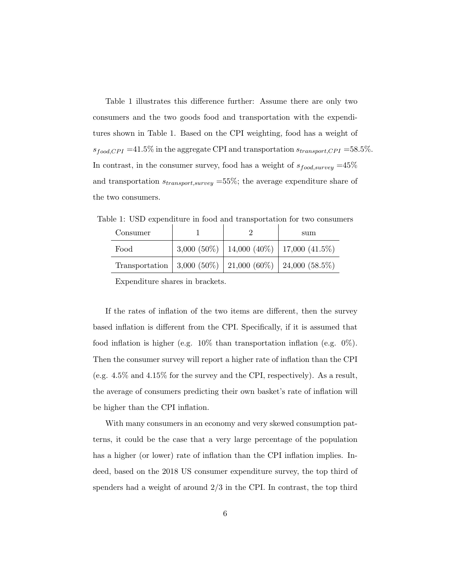Table 1 illustrates this difference further: Assume there are only two consumers and the two goods food and transportation with the expenditures shown in Table 1. Based on the CPI weighting, food has a weight of  $s_{food, CPL} = 41.5\%$  in the aggregate CPI and transportation  $s_{transport, CPL} = 58.5\%$ . In contrast, in the consumer survey, food has a weight of  $s_{food,survey} = 45\%$ and transportation  $s_{transport,survey} = 55\%$ ; the average expenditure share of the two consumers.

Consumer 1 1 2 sum Food  $3,000 (50\%)$  | 14,000 (40\%) | 17,000 (41.5\%) Transportation 3,000 (50%) 21,000 (60%) 24,000 (58.5%)

Table 1: USD expenditure in food and transportation for two consumers

Expenditure shares in brackets.

If the rates of inflation of the two items are different, then the survey based inflation is different from the CPI. Specifically, if it is assumed that food inflation is higher (e.g. 10% than transportation inflation (e.g. 0%). Then the consumer survey will report a higher rate of inflation than the CPI (e.g. 4.5% and 4.15% for the survey and the CPI, respectively). As a result, the average of consumers predicting their own basket's rate of inflation will be higher than the CPI inflation.

With many consumers in an economy and very skewed consumption patterns, it could be the case that a very large percentage of the population has a higher (or lower) rate of inflation than the CPI inflation implies. Indeed, based on the 2018 US consumer expenditure survey, the top third of spenders had a weight of around 2/3 in the CPI. In contrast, the top third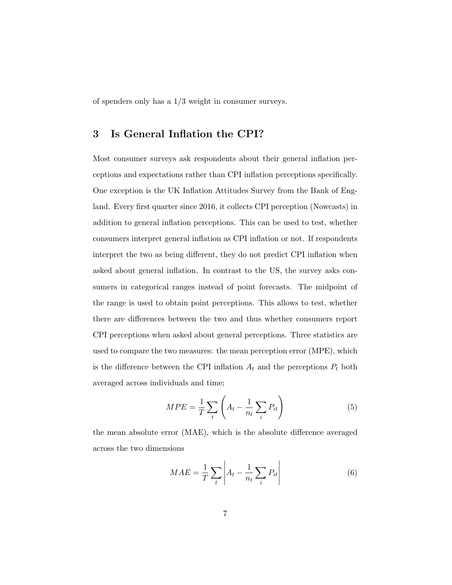of spenders only has a 1/3 weight in consumer surveys.

### 3 Is General Inflation the CPI?

Most consumer surveys ask respondents about their general inflation perceptions and expectations rather than CPI inflation perceptions specifically. One exception is the UK Inflation Attitudes Survey from the Bank of England. Every first quarter since 2016, it collects CPI perception (Nowcasts) in addition to general inflation perceptions. This can be used to test, whether consumers interpret general inflation as CPI inflation or not. If respondents interpret the two as being different, they do not predict CPI inflation when asked about general inflation. In contrast to the US, the survey asks consumers in categorical ranges instead of point forecasts. The midpoint of the range is used to obtain point perceptions. This allows to test, whether there are differences between the two and thus whether consumers report CPI perceptions when asked about general perceptions. Three statistics are used to compare the two measures: the mean perception error (MPE), which is the difference between the CPI inflation  $A_t$  and the perceptions  $P_t$  both averaged across individuals and time;

$$
MPE = \frac{1}{T} \sum_{t} \left( A_t - \frac{1}{n_t} \sum_{i} P_{it} \right) \tag{5}
$$

the mean absolute error (MAE), which is the absolute difference averaged across the two dimensions

$$
MAE = \frac{1}{T} \sum_{t} \left| A_t - \frac{1}{n_t} \sum_{i} P_{it} \right| \tag{6}
$$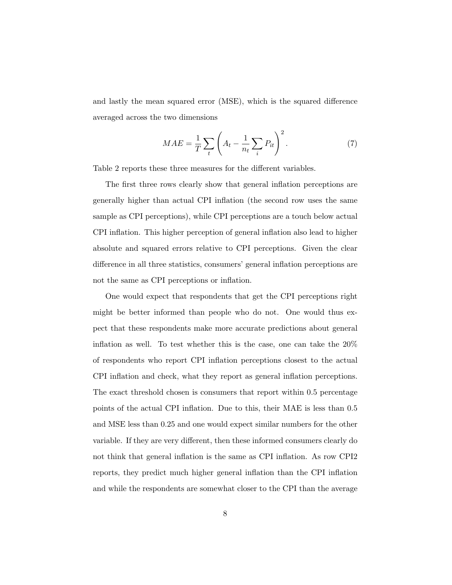and lastly the mean squared error (MSE), which is the squared difference averaged across the two dimensions

$$
MAE = \frac{1}{T} \sum_{t} \left( A_t - \frac{1}{n_t} \sum_{i} P_{it} \right)^2.
$$
 (7)

Table 2 reports these three measures for the different variables.

The first three rows clearly show that general inflation perceptions are generally higher than actual CPI inflation (the second row uses the same sample as CPI perceptions), while CPI perceptions are a touch below actual CPI inflation. This higher perception of general inflation also lead to higher absolute and squared errors relative to CPI perceptions. Given the clear difference in all three statistics, consumers' general inflation perceptions are not the same as CPI perceptions or inflation.

One would expect that respondents that get the CPI perceptions right might be better informed than people who do not. One would thus expect that these respondents make more accurate predictions about general inflation as well. To test whether this is the case, one can take the 20% of respondents who report CPI inflation perceptions closest to the actual CPI inflation and check, what they report as general inflation perceptions. The exact threshold chosen is consumers that report within 0.5 percentage points of the actual CPI inflation. Due to this, their MAE is less than 0.5 and MSE less than 0.25 and one would expect similar numbers for the other variable. If they are very different, then these informed consumers clearly do not think that general inflation is the same as CPI inflation. As row CPI2 reports, they predict much higher general inflation than the CPI inflation and while the respondents are somewhat closer to the CPI than the average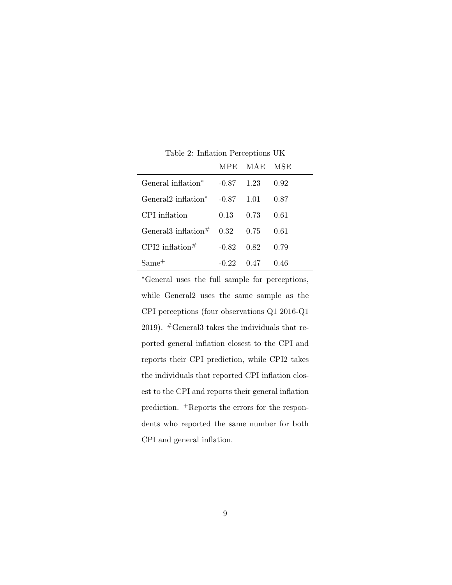|                                       |                    | MPE MAE MSE            |      |
|---------------------------------------|--------------------|------------------------|------|
| General inflation <sup>*</sup>        | $-0.87$ 1.23       |                        | 0.92 |
| General 2inflation* $-0.87$ 1.01 0.87 |                    |                        |      |
| CPI inflation                         |                    | $0.13 \t 0.73 \t 0.61$ |      |
| General 3inflation $\#$ 0.32 0.75     |                    |                        | 0.61 |
| CPI2 inflation <sup>#</sup>           | $-0.82 \quad 0.82$ |                        | 0.79 |
| $Same^+$                              | $-0.22$            | $0.47$ 0.46            |      |

Table 2: Inflation Perceptions UK

L

<sup>∗</sup>General uses the full sample for perceptions, while General2 uses the same sample as the CPI perceptions (four observations Q1 2016-Q1 2019).  $#$ General3 takes the individuals that reported general inflation closest to the CPI and reports their CPI prediction, while CPI2 takes the individuals that reported CPI inflation closest to the CPI and reports their general inflation prediction. <sup>+</sup>Reports the errors for the respondents who reported the same number for both CPI and general inflation.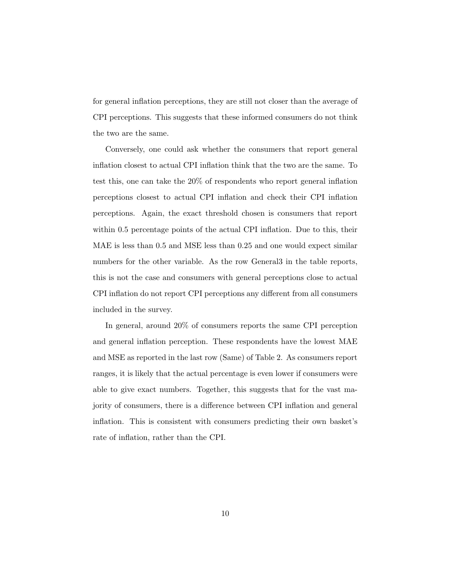for general inflation perceptions, they are still not closer than the average of CPI perceptions. This suggests that these informed consumers do not think the two are the same.

Conversely, one could ask whether the consumers that report general inflation closest to actual CPI inflation think that the two are the same. To test this, one can take the 20% of respondents who report general inflation perceptions closest to actual CPI inflation and check their CPI inflation perceptions. Again, the exact threshold chosen is consumers that report within 0.5 percentage points of the actual CPI inflation. Due to this, their MAE is less than 0.5 and MSE less than 0.25 and one would expect similar numbers for the other variable. As the row General3 in the table reports, this is not the case and consumers with general perceptions close to actual CPI inflation do not report CPI perceptions any different from all consumers included in the survey.

In general, around 20% of consumers reports the same CPI perception and general inflation perception. These respondents have the lowest MAE and MSE as reported in the last row (Same) of Table 2. As consumers report ranges, it is likely that the actual percentage is even lower if consumers were able to give exact numbers. Together, this suggests that for the vast majority of consumers, there is a difference between CPI inflation and general inflation. This is consistent with consumers predicting their own basket's rate of inflation, rather than the CPI.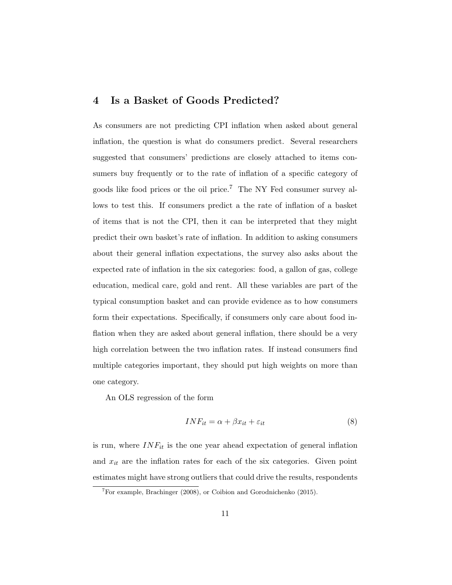#### 4 Is a Basket of Goods Predicted?

As consumers are not predicting CPI inflation when asked about general inflation, the question is what do consumers predict. Several researchers suggested that consumers' predictions are closely attached to items consumers buy frequently or to the rate of inflation of a specific category of goods like food prices or the oil price.<sup>7</sup> The NY Fed consumer survey allows to test this. If consumers predict a the rate of inflation of a basket of items that is not the CPI, then it can be interpreted that they might predict their own basket's rate of inflation. In addition to asking consumers about their general inflation expectations, the survey also asks about the expected rate of inflation in the six categories: food, a gallon of gas, college education, medical care, gold and rent. All these variables are part of the typical consumption basket and can provide evidence as to how consumers form their expectations. Specifically, if consumers only care about food inflation when they are asked about general inflation, there should be a very high correlation between the two inflation rates. If instead consumers find multiple categories important, they should put high weights on more than one category.

An OLS regression of the form

$$
INF_{it} = \alpha + \beta x_{it} + \varepsilon_{it} \tag{8}
$$

is run, where  $INF_{it}$  is the one year ahead expectation of general inflation and  $x_{it}$  are the inflation rates for each of the six categories. Given point estimates might have strong outliers that could drive the results, respondents

 $7$ For example, Brachinger (2008), or Coibion and Gorodnichenko (2015).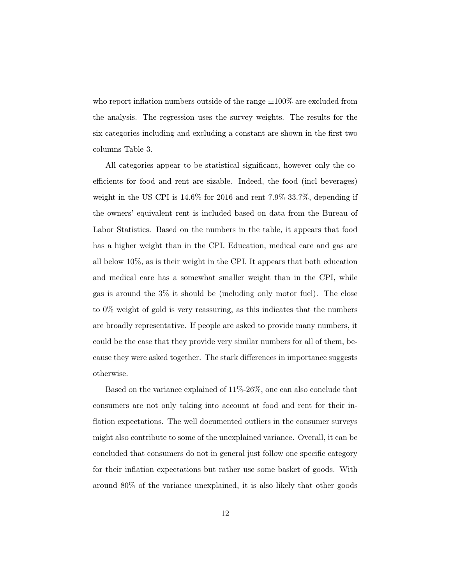who report inflation numbers outside of the range  $\pm 100\%$  are excluded from the analysis. The regression uses the survey weights. The results for the six categories including and excluding a constant are shown in the first two columns Table 3.

All categories appear to be statistical significant, however only the coefficients for food and rent are sizable. Indeed, the food (incl beverages) weight in the US CPI is 14.6% for 2016 and rent 7.9%-33.7%, depending if the owners' equivalent rent is included based on data from the Bureau of Labor Statistics. Based on the numbers in the table, it appears that food has a higher weight than in the CPI. Education, medical care and gas are all below 10%, as is their weight in the CPI. It appears that both education and medical care has a somewhat smaller weight than in the CPI, while gas is around the 3% it should be (including only motor fuel). The close to 0% weight of gold is very reassuring, as this indicates that the numbers are broadly representative. If people are asked to provide many numbers, it could be the case that they provide very similar numbers for all of them, because they were asked together. The stark differences in importance suggests otherwise.

Based on the variance explained of 11%-26%, one can also conclude that consumers are not only taking into account at food and rent for their inflation expectations. The well documented outliers in the consumer surveys might also contribute to some of the unexplained variance. Overall, it can be concluded that consumers do not in general just follow one specific category for their inflation expectations but rather use some basket of goods. With around 80% of the variance unexplained, it is also likely that other goods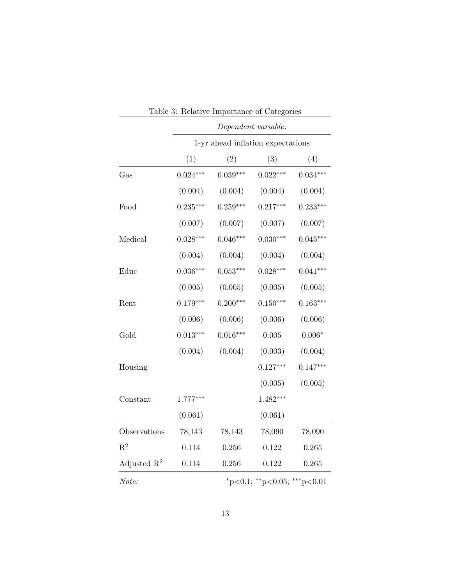|                |                                   |            | Dependent variable:         |                |
|----------------|-----------------------------------|------------|-----------------------------|----------------|
|                | 1-yr ahead inflation expectations |            |                             |                |
|                | (1)                               | (2)        | (3)                         | (4)            |
| Gas            | $0.024***$                        | $0.039***$ | $0.022***$                  | $0.034***$     |
|                | (0.004)                           | (0.004)    | (0.004)                     | (0.004)        |
| Food           | $0.235***$                        | $0.259***$ | $0.217***$                  | $0.233***$     |
|                | (0.007)                           | (0.007)    | (0.007)                     | (0.007)        |
| Medical        | $0.028***$                        | $0.046***$ | $0.030***$                  | $0.045***$     |
|                | (0.004)                           | (0.004)    | (0.004)                     | (0.004)        |
| Educ           | $0.036***$                        | $0.053***$ | $0.028***$                  | $0.041***$     |
|                | (0.005)                           | (0.005)    | (0.005)                     | (0.005)        |
| Rent           | $0.179***$                        | $0.200***$ | $0.150***$                  | $0.163***$     |
|                | (0.006)                           | (0.006)    | (0.006)                     | (0.006)        |
| Gold           | $0.013***$                        | $0.016***$ | $0.005\,$                   | $0.006^{\ast}$ |
|                | (0.004)                           | (0.004)    | (0.003)                     | (0.004)        |
| Housing        |                                   |            | $0.127***$                  | $0.147***$     |
|                |                                   |            | (0.005)                     | (0.005)        |
| Constant       | $1.777***$                        |            | $1.482***$                  |                |
|                | (0.061)                           |            | (0.061)                     |                |
| Observations   | 78,143                            | 78,143     | 78,090                      | 78,090         |
| $R^2$          | 0.114                             | 0.256      | $0.122\,$                   | 0.265          |
| Adjusted $R^2$ | $0.114\,$                         | $0.256\,$  | $0.122\,$                   | 0.265          |
| Note:          |                                   |            | *p<0.1; **p<0.05; ***p<0.01 |                |

| Table 3: Relative Importance of Categories |  |  |  |
|--------------------------------------------|--|--|--|
|                                            |  |  |  |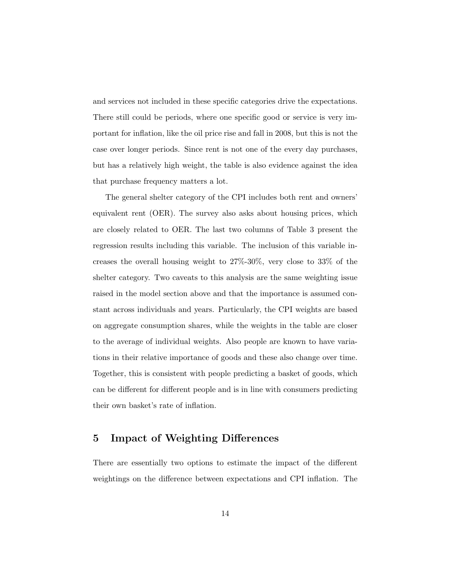and services not included in these specific categories drive the expectations. There still could be periods, where one specific good or service is very important for inflation, like the oil price rise and fall in 2008, but this is not the case over longer periods. Since rent is not one of the every day purchases, but has a relatively high weight, the table is also evidence against the idea that purchase frequency matters a lot.

The general shelter category of the CPI includes both rent and owners' equivalent rent (OER). The survey also asks about housing prices, which are closely related to OER. The last two columns of Table 3 present the regression results including this variable. The inclusion of this variable increases the overall housing weight to 27%-30%, very close to 33% of the shelter category. Two caveats to this analysis are the same weighting issue raised in the model section above and that the importance is assumed constant across individuals and years. Particularly, the CPI weights are based on aggregate consumption shares, while the weights in the table are closer to the average of individual weights. Also people are known to have variations in their relative importance of goods and these also change over time. Together, this is consistent with people predicting a basket of goods, which can be different for different people and is in line with consumers predicting their own basket's rate of inflation.

### 5 Impact of Weighting Differences

There are essentially two options to estimate the impact of the different weightings on the difference between expectations and CPI inflation. The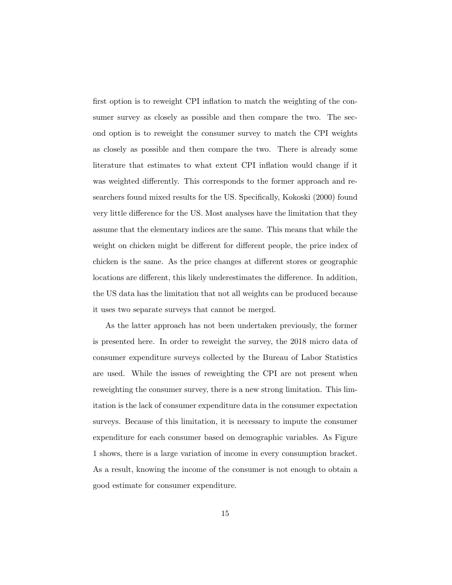first option is to reweight CPI inflation to match the weighting of the consumer survey as closely as possible and then compare the two. The second option is to reweight the consumer survey to match the CPI weights as closely as possible and then compare the two. There is already some literature that estimates to what extent CPI inflation would change if it was weighted differently. This corresponds to the former approach and researchers found mixed results for the US. Specifically, Kokoski (2000) found very little difference for the US. Most analyses have the limitation that they assume that the elementary indices are the same. This means that while the weight on chicken might be different for different people, the price index of chicken is the same. As the price changes at different stores or geographic locations are different, this likely underestimates the difference. In addition, the US data has the limitation that not all weights can be produced because it uses two separate surveys that cannot be merged.

As the latter approach has not been undertaken previously, the former is presented here. In order to reweight the survey, the 2018 micro data of consumer expenditure surveys collected by the Bureau of Labor Statistics are used. While the issues of reweighting the CPI are not present when reweighting the consumer survey, there is a new strong limitation. This limitation is the lack of consumer expenditure data in the consumer expectation surveys. Because of this limitation, it is necessary to impute the consumer expenditure for each consumer based on demographic variables. As Figure 1 shows, there is a large variation of income in every consumption bracket. As a result, knowing the income of the consumer is not enough to obtain a good estimate for consumer expenditure.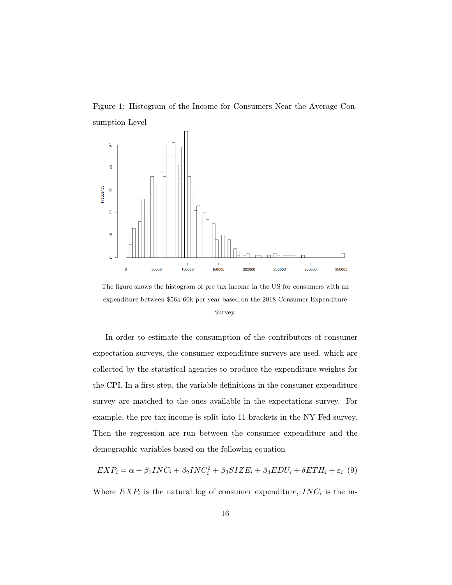Figure 1: Histogram of the Income for Consumers Near the Average Consumption Level



The figure shows the histogram of pre tax income in the US for consumers with an expenditure between \$56k-60k per year based on the 2018 Consumer Expenditure Survey.

In order to estimate the consumption of the contributors of consumer expectation surveys, the consumer expenditure surveys are used, which are collected by the statistical agencies to produce the expenditure weights for the CPI. In a first step, the variable definitions in the consumer expenditure survey are matched to the ones available in the expectations survey. For example, the pre tax income is split into 11 brackets in the NY Fed survey. Then the regression are run between the consumer expenditure and the demographic variables based on the following equation

 $EXP_i = \alpha + \beta_1 INC_i + \beta_2 INC_i^2 + \beta_3 SIZE_i + \beta_4 EDU_i + \delta ETH_i + \varepsilon_i$  (9)

Where  $EXP<sub>i</sub>$  is the natural log of consumer expenditure,  $INC<sub>i</sub>$  is the in-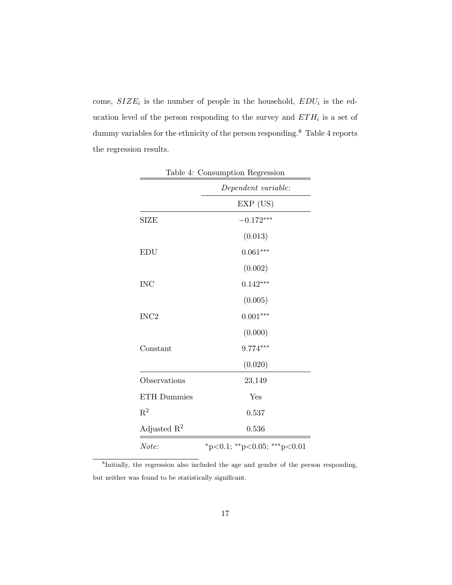come,  $SIZE_i$  is the number of people in the household,  $EDU_i$  is the education level of the person responding to the survey and  $ETH<sub>i</sub>$  is a set of dummy variables for the ethnicity of the person responding.  $^8\,$  Table 4 reports the regression results.

|                         | Table 4: Consumption Regression         |
|-------------------------|-----------------------------------------|
|                         | Dependent variable:                     |
|                         | EXP (US)                                |
| <b>SIZE</b>             | $-0.172***$                             |
|                         | (0.013)                                 |
| <b>EDU</b>              | $0.061***$                              |
|                         | (0.002)                                 |
| <b>INC</b>              | $0.142***$                              |
|                         | (0.005)                                 |
| INC <sub>2</sub>        | $0.001***$                              |
|                         | (0.000)                                 |
| Constant                | $9.774***$                              |
|                         | (0.020)                                 |
| Observations            | 23,149                                  |
| <b>ETH</b> Dummies      | Yes                                     |
| $R^2$                   | 0.537                                   |
| Adjusted $\mathbb{R}^2$ | 0.536                                   |
| Note:                   | $*_{p<0.1;}$ $*_{p<0.05;}$ $*_{p<0.01}$ |

<sup>8</sup>Initially, the regression also included the age and gender of the person responding, but neither was found to be statistically significant.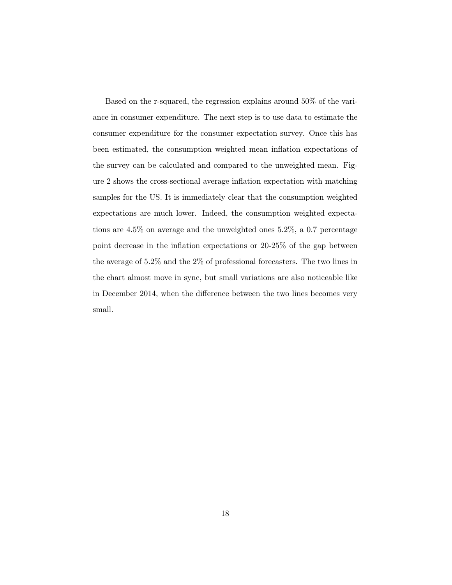Based on the r-squared, the regression explains around 50% of the variance in consumer expenditure. The next step is to use data to estimate the consumer expenditure for the consumer expectation survey. Once this has been estimated, the consumption weighted mean inflation expectations of the survey can be calculated and compared to the unweighted mean. Figure 2 shows the cross-sectional average inflation expectation with matching samples for the US. It is immediately clear that the consumption weighted expectations are much lower. Indeed, the consumption weighted expectations are 4.5% on average and the unweighted ones 5.2%, a 0.7 percentage point decrease in the inflation expectations or 20-25% of the gap between the average of 5.2% and the 2% of professional forecasters. The two lines in the chart almost move in sync, but small variations are also noticeable like in December 2014, when the difference between the two lines becomes very small.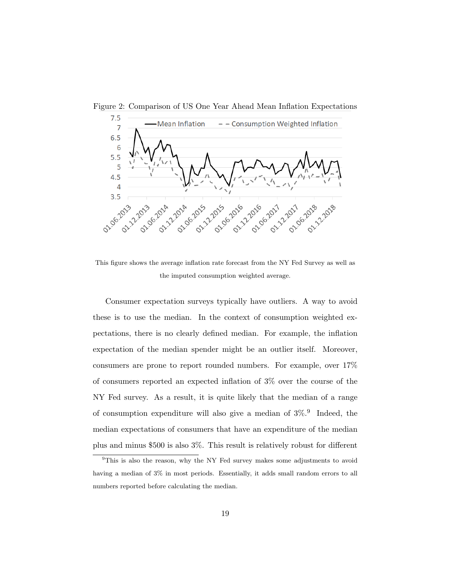



This figure shows the average inflation rate forecast from the NY Fed Survey as well as the imputed consumption weighted average.

Consumer expectation surveys typically have outliers. A way to avoid these is to use the median. In the context of consumption weighted expectations, there is no clearly defined median. For example, the inflation expectation of the median spender might be an outlier itself. Moreover, consumers are prone to report rounded numbers. For example, over 17% of consumers reported an expected inflation of 3% over the course of the NY Fed survey. As a result, it is quite likely that the median of a range of consumption expenditure will also give a median of  $3\%$ <sup>9</sup>. Indeed, the median expectations of consumers that have an expenditure of the median plus and minus \$500 is also 3%. This result is relatively robust for different

<sup>&</sup>lt;sup>9</sup>This is also the reason, why the NY Fed survey makes some adjustments to avoid having a median of  $3\%$  in most periods. Essentially, it adds small random errors to all numbers reported before calculating the median.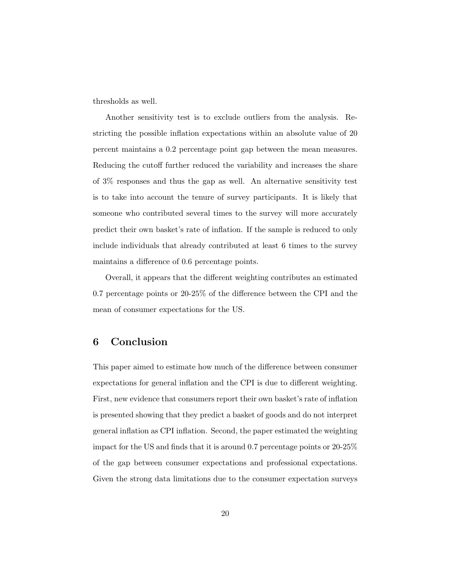thresholds as well.

Another sensitivity test is to exclude outliers from the analysis. Restricting the possible inflation expectations within an absolute value of 20 percent maintains a 0.2 percentage point gap between the mean measures. Reducing the cutoff further reduced the variability and increases the share of 3% responses and thus the gap as well. An alternative sensitivity test is to take into account the tenure of survey participants. It is likely that someone who contributed several times to the survey will more accurately predict their own basket's rate of inflation. If the sample is reduced to only include individuals that already contributed at least 6 times to the survey maintains a difference of 0.6 percentage points.

Overall, it appears that the different weighting contributes an estimated 0.7 percentage points or 20-25% of the difference between the CPI and the mean of consumer expectations for the US.

#### 6 Conclusion

This paper aimed to estimate how much of the difference between consumer expectations for general inflation and the CPI is due to different weighting. First, new evidence that consumers report their own basket's rate of inflation is presented showing that they predict a basket of goods and do not interpret general inflation as CPI inflation. Second, the paper estimated the weighting impact for the US and finds that it is around 0.7 percentage points or 20-25% of the gap between consumer expectations and professional expectations. Given the strong data limitations due to the consumer expectation surveys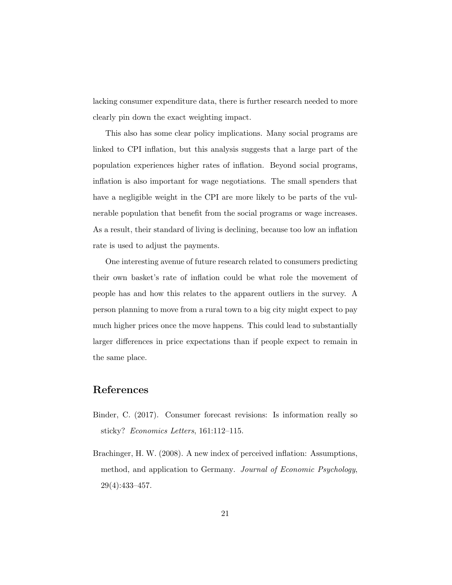lacking consumer expenditure data, there is further research needed to more clearly pin down the exact weighting impact.

This also has some clear policy implications. Many social programs are linked to CPI inflation, but this analysis suggests that a large part of the population experiences higher rates of inflation. Beyond social programs, inflation is also important for wage negotiations. The small spenders that have a negligible weight in the CPI are more likely to be parts of the vulnerable population that benefit from the social programs or wage increases. As a result, their standard of living is declining, because too low an inflation rate is used to adjust the payments.

One interesting avenue of future research related to consumers predicting their own basket's rate of inflation could be what role the movement of people has and how this relates to the apparent outliers in the survey. A person planning to move from a rural town to a big city might expect to pay much higher prices once the move happens. This could lead to substantially larger differences in price expectations than if people expect to remain in the same place.

### References

- Binder, C. (2017). Consumer forecast revisions: Is information really so sticky? Economics Letters, 161:112–115.
- Brachinger, H. W. (2008). A new index of perceived inflation: Assumptions, method, and application to Germany. Journal of Economic Psychology, 29(4):433–457.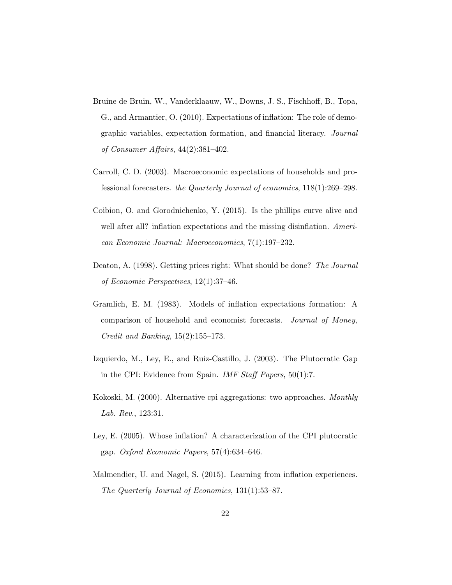- Bruine de Bruin, W., Vanderklaauw, W., Downs, J. S., Fischhoff, B., Topa, G., and Armantier, O. (2010). Expectations of inflation: The role of demographic variables, expectation formation, and financial literacy. Journal of Consumer Affairs, 44(2):381–402.
- Carroll, C. D. (2003). Macroeconomic expectations of households and professional forecasters. the Quarterly Journal of economics, 118(1):269–298.
- Coibion, O. and Gorodnichenko, Y. (2015). Is the phillips curve alive and well after all? inflation expectations and the missing disinflation. American Economic Journal: Macroeconomics, 7(1):197–232.
- Deaton, A. (1998). Getting prices right: What should be done? The Journal of Economic Perspectives, 12(1):37–46.
- Gramlich, E. M. (1983). Models of inflation expectations formation: A comparison of household and economist forecasts. Journal of Money, Credit and Banking, 15(2):155–173.
- Izquierdo, M., Ley, E., and Ruiz-Castillo, J. (2003). The Plutocratic Gap in the CPI: Evidence from Spain. IMF Staff Papers, 50(1):7.
- Kokoski, M. (2000). Alternative cpi aggregations: two approaches. Monthly Lab. Rev., 123:31.
- Ley, E. (2005). Whose inflation? A characterization of the CPI plutocratic gap. Oxford Economic Papers,  $57(4)$ :634–646.
- Malmendier, U. and Nagel, S. (2015). Learning from inflation experiences. The Quarterly Journal of Economics, 131(1):53–87.